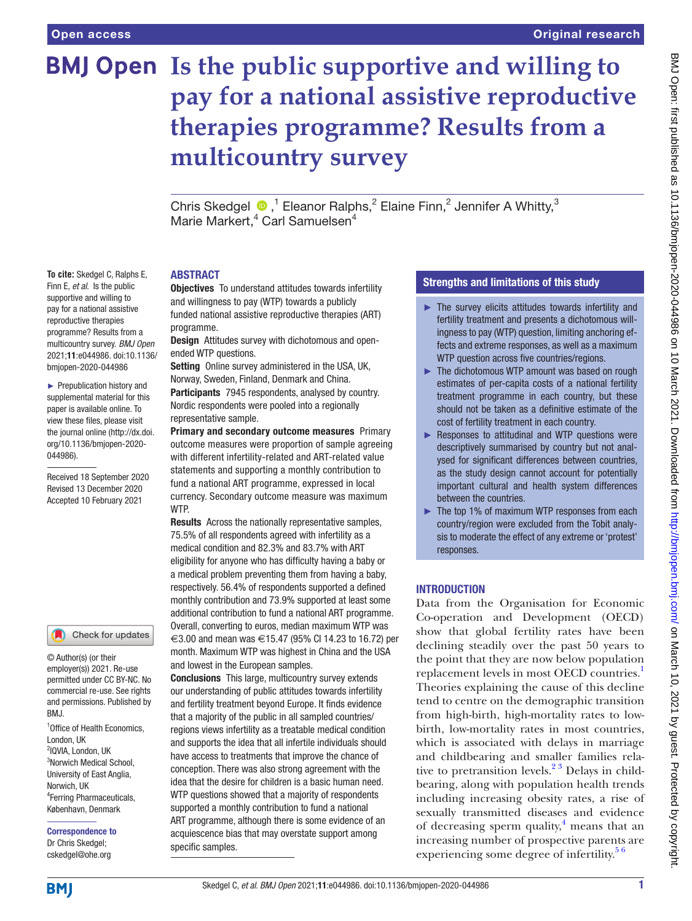**To cite:** Skedgel C, Ralphs E, Finn E, *et al*. Is the public supportive and willing to pay for a national assistive reproductive therapies programme? Results from a multicountry survey. *BMJ Open* 2021;11:e044986. doi:10.1136/ bmjopen-2020-044986 ► Prepublication history and supplemental material for this paper is available online. To view these files, please visit the journal online [\(http://dx.doi.](http://dx.doi.org/10.1136/bmjopen-2020-044986) [org/10.1136/bmjopen-2020-](http://dx.doi.org/10.1136/bmjopen-2020-044986)

[044986\)](http://dx.doi.org/10.1136/bmjopen-2020-044986).

Received 18 September 2020 Revised 13 December 2020 Accepted 10 February 2021

1 Office of Health Economics,

Check for updates

© Author(s) (or their employer(s)) 2021. Re-use permitted under CC BY-NC. No commercial re-use. See rights and permissions. Published by

4 Ferring Pharmaceuticals, København, Denmark Correspondence to

# **BMJ Open Is the public supportive and willing to pay for a national assistive reproductive therapies programme? Results from a multicountry survey**

Chris Skedgel  $\bigcirc$ , <sup>1</sup> Eleanor Ralphs, <sup>2</sup> Elaine Finn, <sup>2</sup> Jennifer A Whitty, <sup>3</sup> Marie Markert,<sup>4</sup> Carl Samuelsen<sup>4</sup>

#### ABSTRACT

**Objectives** To understand attitudes towards infertility and willingness to pay (WTP) towards a publicly funded national assistive reproductive therapies (ART) programme.

Design Attitudes survey with dichotomous and openended WTP questions.

Setting Online survey administered in the USA, UK, Norway, Sweden, Finland, Denmark and China. Participants 7945 respondents, analysed by country. Nordic respondents were pooled into a regionally representative sample.

Primary and secondary outcome measures Primary outcome measures were proportion of sample agreeing with different infertility-related and ART-related value statements and supporting a monthly contribution to fund a national ART programme, expressed in local currency. Secondary outcome measure was maximum WTP.

Results Across the nationally representative samples, 75.5% of all respondents agreed with infertility as a medical condition and 82.3% and 83.7% with ART eligibility for anyone who has difficulty having a baby or a medical problem preventing them from having a baby, respectively. 56.4% of respondents supported a defined monthly contribution and 73.9% supported at least some additional contribution to fund a national ART programme. Overall, converting to euros, median maximum WTP was €3.00 and mean was €15.47 (95% CI 14.23 to 16.72) per month. Maximum WTP was highest in China and the USA and lowest in the European samples.

Conclusions This large, multicountry survey extends our understanding of public attitudes towards infertility and fertility treatment beyond Europe. It finds evidence that a majority of the public in all sampled countries/ regions views infertility as a treatable medical condition and supports the idea that all infertile individuals should have access to treatments that improve the chance of conception. There was also strong agreement with the idea that the desire for children is a basic human need. WTP questions showed that a majority of respondents supported a monthly contribution to fund a national ART programme, although there is some evidence of an acquiescence bias that may overstate support among specific samples.

## Strengths and limitations of this study

- ► The survey elicits attitudes towards infertility and fertility treatment and presents a dichotomous willingness to pay (WTP) question, limiting anchoring effects and extreme responses, as well as a maximum WTP question across five countries/regions.
- ► The dichotomous WTP amount was based on rough estimates of per-capita costs of a national fertility treatment programme in each country, but these should not be taken as a definitive estimate of the cost of fertility treatment in each country.
- ► Responses to attitudinal and WTP questions were descriptively summarised by country but not analysed for significant differences between countries, as the study design cannot account for potentially important cultural and health system differences between the countries.
- ► The top 1% of maximum WTP responses from each country/region were excluded from the Tobit analysis to moderate the effect of any extreme or 'protest' responses.

## INTRODUCTION

Data from the Organisation for Economic Co-operation and Development (OECD) show that global fertility rates have been declining steadily over the past 50 years to the point that they are now below population replacement levels in most OECD countries.<sup>1</sup> Theories explaining the cause of this decline tend to centre on the demographic transition from high-birth, high-mortality rates to lowbirth, low-mortality rates in most countries, which is associated with delays in marriage and childbearing and smaller families relative to pretransition levels.<sup>23</sup> Delays in childbearing, along with population health trends including increasing obesity rates, a rise of sexually transmitted diseases and evidence of decreasing sperm quality, $4$  means that an increasing number of prospective parents are experiencing some degree of infertility. $5<sup>6</sup>$ 

Dr Chris Skedgel; cskedgel@ohe.org

**BMI** 

London, UK 2 IQVIA, London, UK <sup>3</sup>Norwich Medical School, University of East Anglia,

BMJ.

Norwich, UK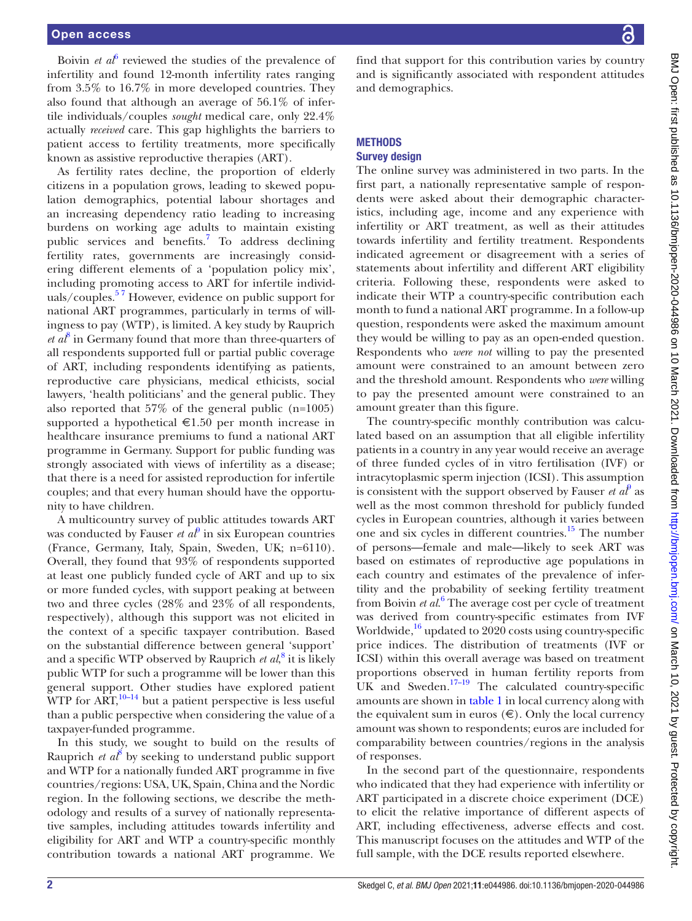## Open access

Boivin *et a*<sup> $\delta$ </sup> reviewed the studies of the prevalence of infertility and found 12-month infertility rates ranging from 3.5% to 16.7% in more developed countries. They also found that although an average of 56.1% of infertile individuals/couples *sought* medical care, only 22.4% actually *received* care. This gap highlights the barriers to patient access to fertility treatments, more specifically known as assistive reproductive therapies (ART).

As fertility rates decline, the proportion of elderly citizens in a population grows, leading to skewed population demographics, potential labour shortages and an increasing dependency ratio leading to increasing burdens on working age adults to maintain existing public services and benefits.<sup>[7](#page-7-5)</sup> To address declining fertility rates, governments are increasingly considering different elements of a 'population policy mix', including promoting access to ART for infertile individuals/couples. $57$  However, evidence on public support for national ART programmes, particularly in terms of willingness to pay (WTP), is limited. A key study by Rauprich  $et\ a^8$  $et\ a^8$  in Germany found that more than three-quarters of all respondents supported full or partial public coverage of ART, including respondents identifying as patients, reproductive care physicians, medical ethicists, social lawyers, 'health politicians' and the general public. They also reported that 57% of the general public (n=1005) supported a hypothetical  $\epsilon$ 1.50 per month increase in healthcare insurance premiums to fund a national ART programme in Germany. Support for public funding was strongly associated with views of infertility as a disease; that there is a need for assisted reproduction for infertile couples; and that every human should have the opportunity to have children.

A multicountry survey of public attitudes towards ART was conducted by Fauser  $et\ a\ell^{\theta}$  in six European countries (France, Germany, Italy, Spain, Sweden, UK; n=6110). Overall, they found that 93% of respondents supported at least one publicly funded cycle of ART and up to six or more funded cycles, with support peaking at between two and three cycles (28% and 23% of all respondents, respectively), although this support was not elicited in the context of a specific taxpayer contribution. Based on the substantial difference between general 'support' and a specific WTP observed by Rauprich *et al*,<sup>[8](#page-7-6)</sup> it is likely public WTP for such a programme will be lower than this general support. Other studies have explored patient WTP for  $\widehat{ART}$ ,<sup>10–14</sup> but a patient perspective is less useful than a public perspective when considering the value of a taxpayer-funded programme.

In this study, we sought to build on the results of Rauprich *et al*<sup>[8](#page-7-6)</sup> by seeking to understand public support and WTP for a nationally funded ART programme in five countries/regions: USA, UK, Spain, China and the Nordic region. In the following sections, we describe the methodology and results of a survey of nationally representative samples, including attitudes towards infertility and eligibility for ART and WTP a country-specific monthly contribution towards a national ART programme. We

find that support for this contribution varies by country and is significantly associated with respondent attitudes and demographics.

# **METHODS**

## Survey design

The online survey was administered in two parts. In the first part, a nationally representative sample of respondents were asked about their demographic characteristics, including age, income and any experience with infertility or ART treatment, as well as their attitudes towards infertility and fertility treatment. Respondents indicated agreement or disagreement with a series of statements about infertility and different ART eligibility criteria. Following these, respondents were asked to indicate their WTP a country-specific contribution each month to fund a national ART programme. In a follow-up question, respondents were asked the maximum amount they would be willing to pay as an open-ended question. Respondents who *were not* willing to pay the presented amount were constrained to an amount between zero and the threshold amount. Respondents who *were* willing to pay the presented amount were constrained to an amount greater than this figure.

The country-specific monthly contribution was calculated based on an assumption that all eligible infertility patients in a country in any year would receive an average of three funded cycles of in vitro fertilisation (IVF) or intracytoplasmic sperm injection (ICSI). This assumption is consistent with the support observed by Fauser  $et\ a t^p$  as well as the most common threshold for publicly funded cycles in European countries, although it varies between one and six cycles in different countries.[15](#page-7-9) The number of persons—female and male—likely to seek ART was based on estimates of reproductive age populations in each country and estimates of the prevalence of infertility and the probability of seeking fertility treatment from Boivin *et al.*<sup>[6](#page-7-4)</sup> The average cost per cycle of treatment was derived from country-specific estimates from IVF Worldwide, $16 \text{ updated to } 2020 \text{ costs using country-specific}$ price indices. The distribution of treatments (IVF or ICSI) within this overall average was based on treatment proportions observed in human fertility reports from UK and Sweden.<sup>17–19</sup> The calculated country-specific amounts are shown in [table](#page-2-0) 1 in local currency along with the equivalent sum in euros  $(\epsilon)$ . Only the local currency amount was shown to respondents; euros are included for comparability between countries/regions in the analysis of responses.

In the second part of the questionnaire, respondents who indicated that they had experience with infertility or ART participated in a discrete choice experiment (DCE) to elicit the relative importance of different aspects of ART, including effectiveness, adverse effects and cost. This manuscript focuses on the attitudes and WTP of the full sample, with the DCE results reported elsewhere.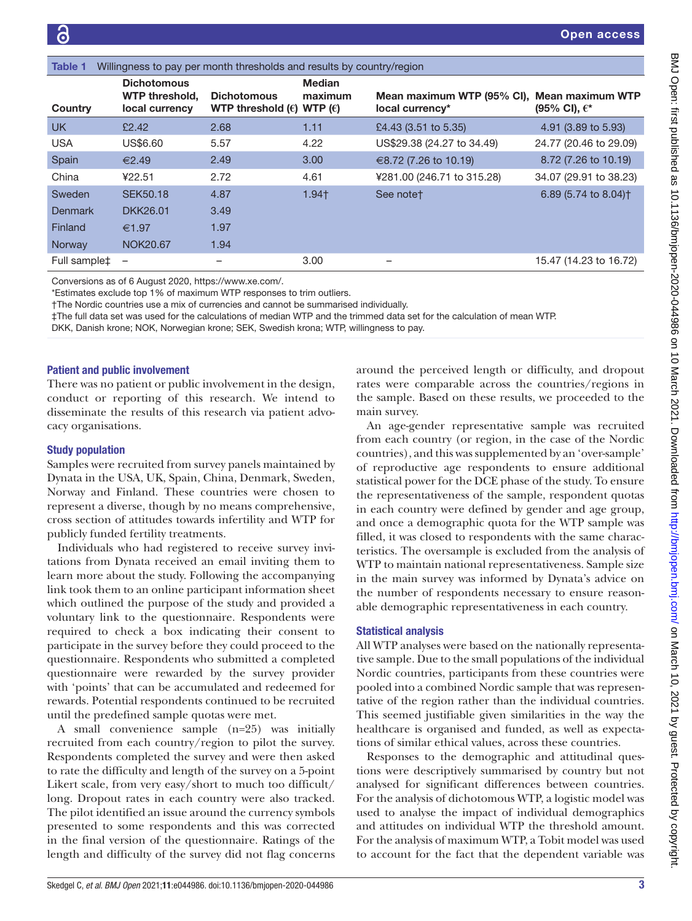<span id="page-2-0"></span>

| Willingness to pay per month thresholds and results by country/region<br>Table 1 |                                                        |                                                                   |                          |                                                                |                                  |  |  |  |  |  |
|----------------------------------------------------------------------------------|--------------------------------------------------------|-------------------------------------------------------------------|--------------------------|----------------------------------------------------------------|----------------------------------|--|--|--|--|--|
| Country                                                                          | <b>Dichotomous</b><br>WTP threshold,<br>local currency | <b>Dichotomous</b><br>WTP threshold $(\epsilon)$ WTP $(\epsilon)$ | <b>Median</b><br>maximum | Mean maximum WTP (95% CI), Mean maximum WTP<br>local currency* | (95% CI), $\epsilon^*$           |  |  |  |  |  |
| <b>UK</b>                                                                        | £2.42                                                  | 2.68                                                              | 1.11                     | £4.43 (3.51 to 5.35)                                           | 4.91 (3.89 to 5.93)              |  |  |  |  |  |
| <b>USA</b>                                                                       | US\$6.60                                               | 5.57                                                              | 4.22                     | US\$29.38 (24.27 to 34.49)                                     | 24.77 (20.46 to 29.09)           |  |  |  |  |  |
| Spain                                                                            | €2.49                                                  | 2.49                                                              | 3.00                     | €8.72 (7.26 to 10.19)                                          | 8.72 (7.26 to 10.19)             |  |  |  |  |  |
| China                                                                            | ¥22.51                                                 | 2.72                                                              | 4.61                     | ¥281.00 (246.71 to 315.28)                                     | 34.07 (29.91 to 38.23)           |  |  |  |  |  |
| Sweden                                                                           | <b>SEK50.18</b>                                        | 4.87                                                              | $1.94+$                  | See notet                                                      | 6.89 (5.74 to 8.04) <sup>+</sup> |  |  |  |  |  |
| <b>Denmark</b>                                                                   | DKK26.01                                               | 3.49                                                              |                          |                                                                |                                  |  |  |  |  |  |
| Finland                                                                          | €1.97                                                  | 1.97                                                              |                          |                                                                |                                  |  |  |  |  |  |
| Norway                                                                           | <b>NOK20.67</b>                                        | 1.94                                                              |                          |                                                                |                                  |  |  |  |  |  |
| Full sample‡                                                                     | $\overline{\phantom{a}}$                               |                                                                   | 3.00                     |                                                                | 15.47 (14.23 to 16.72)           |  |  |  |  |  |

Conversions as of 6 August 2020,<https://www.xe.com/>.

\*Estimates exclude top 1% of maximum WTP responses to trim outliers.

†The Nordic countries use a mix of currencies and cannot be summarised individually.

‡The full data set was used for the calculations of median WTP and the trimmed data set for the calculation of mean WTP.

DKK, Danish krone; NOK, Norwegian krone; SEK, Swedish krona; WTP, willingness to pay.

#### Patient and public involvement

There was no patient or public involvement in the design, conduct or reporting of this research. We intend to disseminate the results of this research via patient advocacy organisations.

#### Study population

Samples were recruited from survey panels maintained by Dynata in the USA, UK, Spain, China, Denmark, Sweden, Norway and Finland. These countries were chosen to represent a diverse, though by no means comprehensive, cross section of attitudes towards infertility and WTP for publicly funded fertility treatments.

Individuals who had registered to receive survey invitations from Dynata received an email inviting them to learn more about the study. Following the accompanying link took them to an online participant information sheet which outlined the purpose of the study and provided a voluntary link to the questionnaire. Respondents were required to check a box indicating their consent to participate in the survey before they could proceed to the questionnaire. Respondents who submitted a completed questionnaire were rewarded by the survey provider with 'points' that can be accumulated and redeemed for rewards. Potential respondents continued to be recruited until the predefined sample quotas were met.

A small convenience sample (n=25) was initially recruited from each country/region to pilot the survey. Respondents completed the survey and were then asked to rate the difficulty and length of the survey on a 5-point Likert scale, from very easy/short to much too difficult/ long. Dropout rates in each country were also tracked. The pilot identified an issue around the currency symbols presented to some respondents and this was corrected in the final version of the questionnaire. Ratings of the length and difficulty of the survey did not flag concerns

around the perceived length or difficulty, and dropout rates were comparable across the countries/regions in the sample. Based on these results, we proceeded to the main survey.

An age-gender representative sample was recruited from each country (or region, in the case of the Nordic countries), and this was supplemented by an 'over-sample' of reproductive age respondents to ensure additional statistical power for the DCE phase of the study. To ensure the representativeness of the sample, respondent quotas in each country were defined by gender and age group, and once a demographic quota for the WTP sample was filled, it was closed to respondents with the same characteristics. The oversample is excluded from the analysis of WTP to maintain national representativeness. Sample size in the main survey was informed by Dynata's advice on the number of respondents necessary to ensure reasonable demographic representativeness in each country.

#### Statistical analysis

All WTP analyses were based on the nationally representative sample. Due to the small populations of the individual Nordic countries, participants from these countries were pooled into a combined Nordic sample that was representative of the region rather than the individual countries. This seemed justifiable given similarities in the way the healthcare is organised and funded, as well as expectations of similar ethical values, across these countries.

Responses to the demographic and attitudinal questions were descriptively summarised by country but not analysed for significant differences between countries. For the analysis of dichotomous WTP, a logistic model was used to analyse the impact of individual demographics and attitudes on individual WTP the threshold amount. For the analysis of maximum WTP, a Tobit model was used to account for the fact that the dependent variable was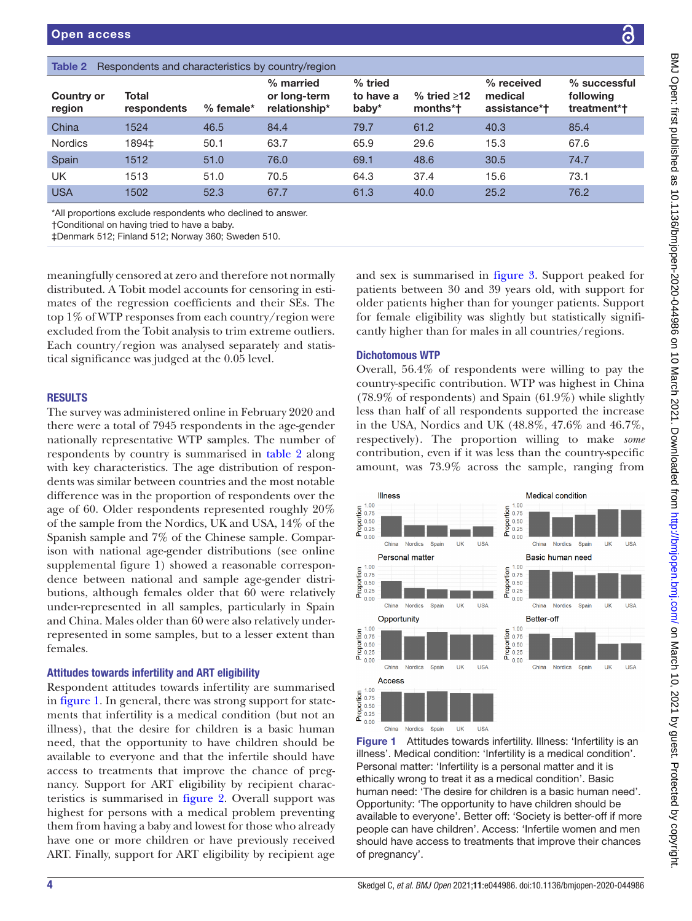<span id="page-3-0"></span>

| Respondents and characteristics by country/region<br>Table 2 |                      |             |                                            |                                 |                                 |                                       |                                            |  |  |  |  |
|--------------------------------------------------------------|----------------------|-------------|--------------------------------------------|---------------------------------|---------------------------------|---------------------------------------|--------------------------------------------|--|--|--|--|
| <b>Country or</b><br>region                                  | Total<br>respondents | $%$ female* | % married<br>or long-term<br>relationship* | $%$ tried<br>to have a<br>baby* | $%$ tried $\geq$ 12<br>months*t | % received<br>medical<br>assistance*† | $%$ successful<br>following<br>treatment*† |  |  |  |  |
| China                                                        | 1524                 | 46.5        | 84.4                                       | 79.7                            | 61.2                            | 40.3                                  | 85.4                                       |  |  |  |  |
| <b>Nordics</b>                                               | 1894‡                | 50.1        | 63.7                                       | 65.9                            | 29.6                            | 15.3                                  | 67.6                                       |  |  |  |  |
| Spain                                                        | 1512                 | 51.0        | 76.0                                       | 69.1                            | 48.6                            | 30.5                                  | 74.7                                       |  |  |  |  |
| UK                                                           | 1513                 | 51.0        | 70.5                                       | 64.3                            | 37.4                            | 15.6                                  | 73.1                                       |  |  |  |  |
| <b>USA</b>                                                   | 1502                 | 52.3        | 67.7                                       | 61.3                            | 40.0                            | 25.2                                  | 76.2                                       |  |  |  |  |
|                                                              |                      |             |                                            |                                 |                                 |                                       |                                            |  |  |  |  |

\*All proportions exclude respondents who declined to answer.

†Conditional on having tried to have a baby.

‡Denmark 512; Finland 512; Norway 360; Sweden 510.

meaningfully censored at zero and therefore not normally distributed. A Tobit model accounts for censoring in estimates of the regression coefficients and their SEs. The top 1% of WTP responses from each country/region were excluded from the Tobit analysis to trim extreme outliers. Each country/region was analysed separately and statistical significance was judged at the 0.05 level.

#### **RESULTS**

The survey was administered online in February 2020 and there were a total of 7945 respondents in the age-gender nationally representative WTP samples. The number of respondents by country is summarised in [table](#page-3-0) 2 along with key characteristics. The age distribution of respondents was similar between countries and the most notable difference was in the proportion of respondents over the age of 60. Older respondents represented roughly 20% of the sample from the Nordics, UK and USA, 14% of the Spanish sample and 7% of the Chinese sample. Comparison with national age-gender distributions (see [online](https://dx.doi.org/10.1136/bmjopen-2020-044986) [supplemental figure 1](https://dx.doi.org/10.1136/bmjopen-2020-044986)) showed a reasonable correspondence between national and sample age-gender distributions, although females older that 60 were relatively under-represented in all samples, particularly in Spain and China. Males older than 60 were also relatively underrepresented in some samples, but to a lesser extent than females.

#### Attitudes towards infertility and ART eligibility

Respondent attitudes towards infertility are summarised in [figure](#page-3-1) 1. In general, there was strong support for statements that infertility is a medical condition (but not an illness), that the desire for children is a basic human need, that the opportunity to have children should be available to everyone and that the infertile should have access to treatments that improve the chance of pregnancy. Support for ART eligibility by recipient characteristics is summarised in [figure](#page-4-0) 2. Overall support was highest for persons with a medical problem preventing them from having a baby and lowest for those who already have one or more children or have previously received ART. Finally, support for ART eligibility by recipient age

and sex is summarised in [figure](#page-4-1) 3. Support peaked for patients between 30 and 39 years old, with support for older patients higher than for younger patients. Support for female eligibility was slightly but statistically significantly higher than for males in all countries/regions.

#### Dichotomous WTP

Overall, 56.4% of respondents were willing to pay the country-specific contribution. WTP was highest in China (78.9% of respondents) and Spain (61.9%) while slightly less than half of all respondents supported the increase in the USA, Nordics and UK (48.8%, 47.6% and 46.7%, respectively). The proportion willing to make *some* contribution, even if it was less than the country-specific amount, was 73.9% across the sample, ranging from



<span id="page-3-1"></span>Figure 1 Attitudes towards infertility. Illness: 'Infertility is an illness'. Medical condition: 'Infertility is a medical condition'. Personal matter: 'Infertility is a personal matter and it is ethically wrong to treat it as a medical condition'. Basic human need: 'The desire for children is a basic human need'. Opportunity: 'The opportunity to have children should be available to everyone'. Better off: 'Society is better-off if more people can have children'. Access: 'Infertile women and men should have access to treatments that improve their chances of pregnancy'.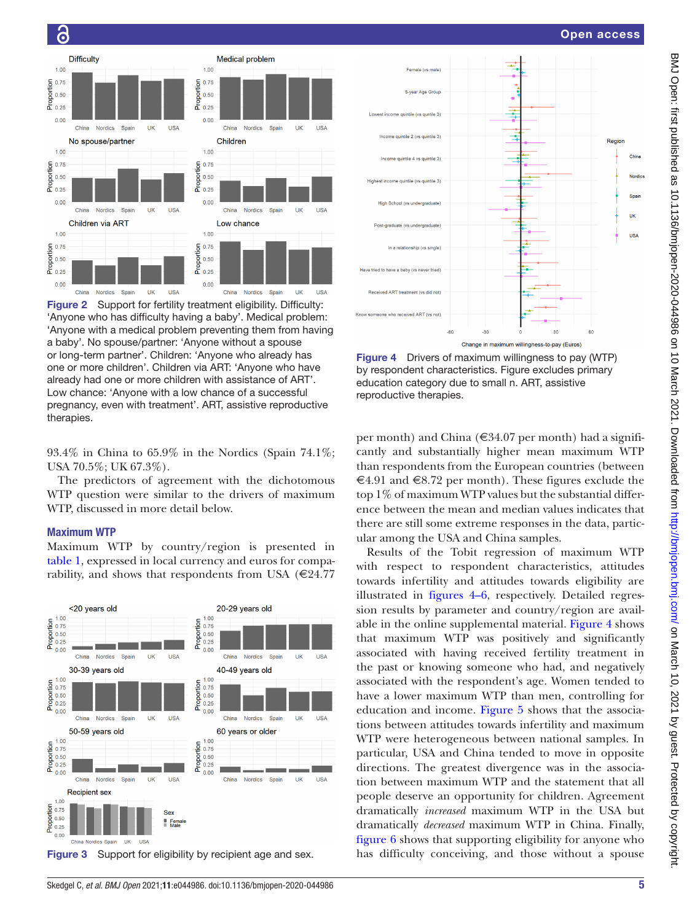Reg

China

Nordice

ÜK

 $1182$ 



ular among the USA and China samples. Results of the Tobit regression of maximum WTP with respect to respondent characteristics, attitudes towards infertility and attitudes towards eligibility are illustrated in [figures](#page-4-2) 4–6, respectively. Detailed regression results by parameter and country/region are available in the [online supplemental](https://dx.doi.org/10.1136/bmjopen-2020-044986) material. [Figure](#page-4-2) 4 shows that maximum WTP was positively and significantly associated with having received fertility treatment in the past or knowing someone who had, and negatively associated with the respondent's age. Women tended to have a lower maximum WTP than men, controlling for education and income. [Figure](#page-5-0) 5 shows that the associations between attitudes towards infertility and maximum WTP were heterogeneous between national samples. In particular, USA and China tended to move in opposite directions. The greatest divergence was in the association between maximum WTP and the statement that all people deserve an opportunity for children. Agreement dramatically *increased* maximum WTP in the USA but dramatically *decreased* maximum WTP in China. Finally, [figure](#page-5-1) 6 shows that supporting eligibility for anyone who

![](_page_4_Figure_3.jpeg)

<span id="page-4-2"></span>Figure 4 Drivers of maximum willingness to pay (WTP) by respondent characteristics. Figure excludes primary education category due to small n. ART, assistive

93.4% in China to 65.9% in the Nordics (Spain 74.1%; USA 70.5%; UK 67.3%).

Medical problem

 $1.00$ 

 $\frac{1}{2}$  0.75<br>  $\frac{1}{2}$  0.50<br>  $\frac{1}{2}$  0.25

 $0.00$ 

 $1.00$ 

 $\frac{5}{2}$  0.75<br>  $\frac{0.50}{0.25}$ 

 $0.00$ 

 $1.00$ 

 $0.75$ 

 $0.50$ 

 $0.25$ 

 $0.00$ 

Proportion

Children

China

Low chance

Nordics

The predictors of agreement with the dichotomous WTP question were similar to the drivers of maximum WTP, discussed in more detail below.

## Maximum WTP

therapies.

ခြ

 $1.00$ 

 $\frac{5}{2}$  0.75<br>  $\frac{0.75}{2}$ 

 $\frac{6}{6}$  0.25

 $0.00$ 

 $1.00$ 

 $\frac{6}{2}$  0.75<br>  $\frac{6}{2}$  0.50<br>  $\frac{1}{2}$  0.25

 $0.00$ 

 $1.00$ 

 $0.75$ 

 $0.50$ 

 $0.25$ 

<span id="page-4-0"></span> $0.00$ 

Proportion

China

China

Difficulty

China Nordics Spain

**Nordics** 

Nordics Spain

Children via ART

No spouse/partner

 $\overline{\mathbf{u}}$ **USA** 

 $\overline{1}$ **USA** 

**UK USA** 

Spair

Maximum WTP by country/region is presented in [table](#page-2-0) 1, expressed in local currency and euros for comparability, and shows that respondents from USA ( $€24.77$ 

![](_page_4_Figure_9.jpeg)

<span id="page-4-1"></span>Figure 3 Support for eligibility by recipient age and sex. has difficulty conceiving, and those without a spouse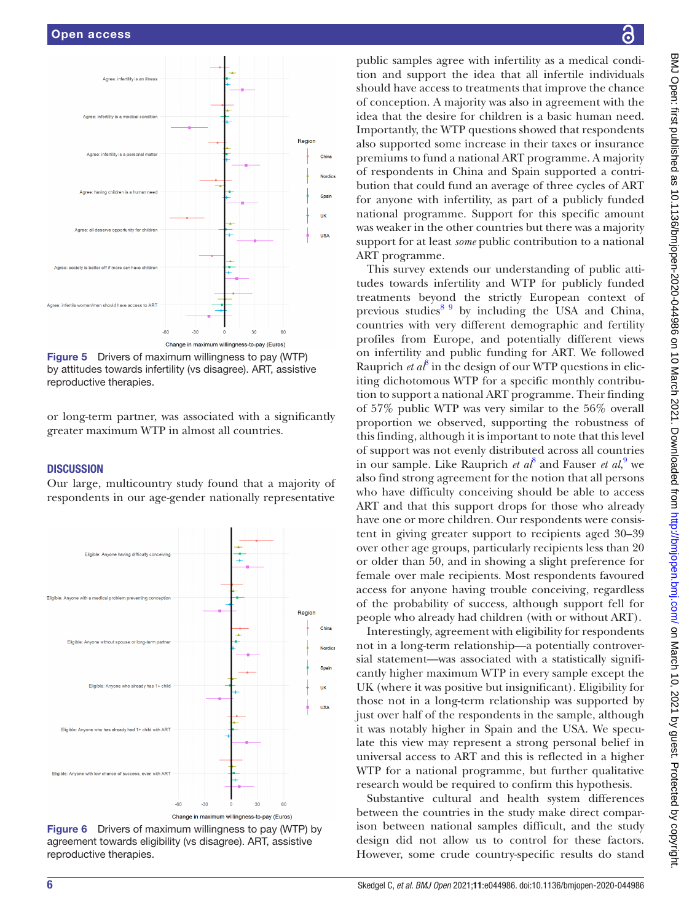![](_page_5_Figure_1.jpeg)

<span id="page-5-0"></span>Figure 5 Drivers of maximum willingness to pay (WTP) by attitudes towards infertility (vs disagree). ART, assistive reproductive therapies.

or long-term partner, was associated with a significantly greater maximum WTP in almost all countries.

#### **DISCUSSION**

Our large, multicountry study found that a majority of respondents in our age-gender nationally representative

![](_page_5_Figure_6.jpeg)

<span id="page-5-1"></span>Figure 6 Drivers of maximum willingness to pay (WTP) by agreement towards eligibility (vs disagree). ART, assistive reproductive therapies.

public samples agree with infertility as a medical condition and support the idea that all infertile individuals should have access to treatments that improve the chance of conception. A majority was also in agreement with the idea that the desire for children is a basic human need. Importantly, the WTP questions showed that respondents also supported some increase in their taxes or insurance premiums to fund a national ART programme. A majority of respondents in China and Spain supported a contribution that could fund an average of three cycles of ART for anyone with infertility, as part of a publicly funded national programme. Support for this specific amount was weaker in the other countries but there was a majority support for at least *some* public contribution to a national ART programme.

This survey extends our understanding of public attitudes towards infertility and WTP for publicly funded treatments beyond the strictly European context of previous studies $89$  by including the USA and China, countries with very different demographic and fertility profiles from Europe, and potentially different views on infertility and public funding for ART. We followed Rauprich  $et\ a^8$  $et\ a^8$  in the design of our WTP questions in eliciting dichotomous WTP for a specific monthly contribution to support a national ART programme. Their finding of 57% public WTP was very similar to the 56% overall proportion we observed, supporting the robustness of this finding, although it is important to note that this level of support was not evenly distributed across all countries in our sample. Like Rauprich *et al*<sup>[8](#page-7-6)</sup> and Fauser *et al*,<sup>[9](#page-7-7)</sup> we also find strong agreement for the notion that all persons who have difficulty conceiving should be able to access ART and that this support drops for those who already have one or more children. Our respondents were consistent in giving greater support to recipients aged 30–39 over other age groups, particularly recipients less than 20 or older than 50, and in showing a slight preference for female over male recipients. Most respondents favoured access for anyone having trouble conceiving, regardless of the probability of success, although support fell for people who already had children (with or without ART).

Interestingly, agreement with eligibility for respondents not in a long-term relationship—a potentially controversial statement—was associated with a statistically significantly higher maximum WTP in every sample except the UK (where it was positive but insignificant). Eligibility for those not in a long-term relationship was supported by just over half of the respondents in the sample, although it was notably higher in Spain and the USA. We speculate this view may represent a strong personal belief in universal access to ART and this is reflected in a higher WTP for a national programme, but further qualitative research would be required to confirm this hypothesis.

Substantive cultural and health system differences between the countries in the study make direct comparison between national samples difficult, and the study design did not allow us to control for these factors. However, some crude country-specific results do stand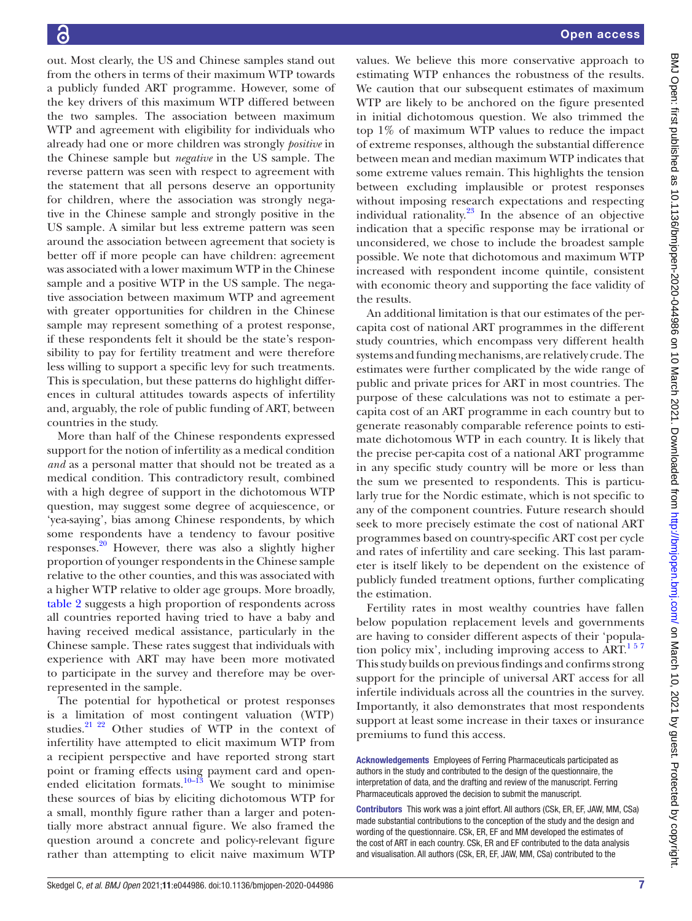out. Most clearly, the US and Chinese samples stand out from the others in terms of their maximum WTP towards a publicly funded ART programme. However, some of the key drivers of this maximum WTP differed between the two samples. The association between maximum WTP and agreement with eligibility for individuals who already had one or more children was strongly *positive* in the Chinese sample but *negative* in the US sample. The reverse pattern was seen with respect to agreement with the statement that all persons deserve an opportunity for children, where the association was strongly negative in the Chinese sample and strongly positive in the US sample. A similar but less extreme pattern was seen around the association between agreement that society is better off if more people can have children: agreement was associated with a lower maximum WTP in the Chinese sample and a positive WTP in the US sample. The negative association between maximum WTP and agreement with greater opportunities for children in the Chinese sample may represent something of a protest response, if these respondents felt it should be the state's responsibility to pay for fertility treatment and were therefore less willing to support a specific levy for such treatments. This is speculation, but these patterns do highlight differences in cultural attitudes towards aspects of infertility and, arguably, the role of public funding of ART, between countries in the study.

More than half of the Chinese respondents expressed support for the notion of infertility as a medical condition *and* as a personal matter that should not be treated as a medical condition. This contradictory result, combined with a high degree of support in the dichotomous WTP question, may suggest some degree of acquiescence, or 'yea-saying', bias among Chinese respondents, by which some respondents have a tendency to favour positive responses[.20](#page-7-12) However, there was also a slightly higher proportion of younger respondents in the Chinese sample relative to the other counties, and this was associated with a higher WTP relative to older age groups. More broadly, [table](#page-3-0) 2 suggests a high proportion of respondents across all countries reported having tried to have a baby and having received medical assistance, particularly in the Chinese sample. These rates suggest that individuals with experience with ART may have been more motivated to participate in the survey and therefore may be overrepresented in the sample.

The potential for hypothetical or protest responses is a limitation of most contingent valuation (WTP) studies.[21 22](#page-7-13) Other studies of WTP in the context of infertility have attempted to elicit maximum WTP from a recipient perspective and have reported strong start point or framing effects using payment card and open-ended elicitation formats.<sup>[10–13](#page-7-8)</sup> We sought to minimise these sources of bias by eliciting dichotomous WTP for a small, monthly figure rather than a larger and potentially more abstract annual figure. We also framed the question around a concrete and policy-relevant figure rather than attempting to elicit naive maximum WTP

values. We believe this more conservative approach to estimating WTP enhances the robustness of the results. We caution that our subsequent estimates of maximum WTP are likely to be anchored on the figure presented in initial dichotomous question. We also trimmed the top 1% of maximum WTP values to reduce the impact of extreme responses, although the substantial difference between mean and median maximum WTP indicates that some extreme values remain. This highlights the tension between excluding implausible or protest responses without imposing research expectations and respecting individual rationality.[23](#page-7-14) In the absence of an objective indication that a specific response may be irrational or unconsidered, we chose to include the broadest sample possible. We note that dichotomous and maximum WTP increased with respondent income quintile, consistent with economic theory and supporting the face validity of the results.

An additional limitation is that our estimates of the percapita cost of national ART programmes in the different study countries, which encompass very different health systems and funding mechanisms, are relatively crude. The estimates were further complicated by the wide range of public and private prices for ART in most countries. The purpose of these calculations was not to estimate a percapita cost of an ART programme in each country but to generate reasonably comparable reference points to estimate dichotomous WTP in each country. It is likely that the precise per-capita cost of a national ART programme in any specific study country will be more or less than the sum we presented to respondents. This is particularly true for the Nordic estimate, which is not specific to any of the component countries. Future research should seek to more precisely estimate the cost of national ART programmes based on country-specific ART cost per cycle and rates of infertility and care seeking. This last parameter is itself likely to be dependent on the existence of publicly funded treatment options, further complicating the estimation.

Fertility rates in most wealthy countries have fallen below population replacement levels and governments are having to consider different aspects of their 'population policy mix', including improving access to  $\text{ART}^{157}$ This study builds on previous findings and confirms strong support for the principle of universal ART access for all infertile individuals across all the countries in the survey. Importantly, it also demonstrates that most respondents support at least some increase in their taxes or insurance premiums to fund this access.

Acknowledgements Employees of Ferring Pharmaceuticals participated as authors in the study and contributed to the design of the questionnaire, the interpretation of data, and the drafting and review of the manuscript. Ferring Pharmaceuticals approved the decision to submit the manuscript.

Contributors This work was a joint effort. All authors (CSk, ER, EF, JAW, MM, CSa) made substantial contributions to the conception of the study and the design and wording of the questionnaire. CSk, ER, EF and MM developed the estimates of the cost of ART in each country. CSk, ER and EF contributed to the data analysis and visualisation. All authors (CSk, ER, EF, JAW, MM, CSa) contributed to the